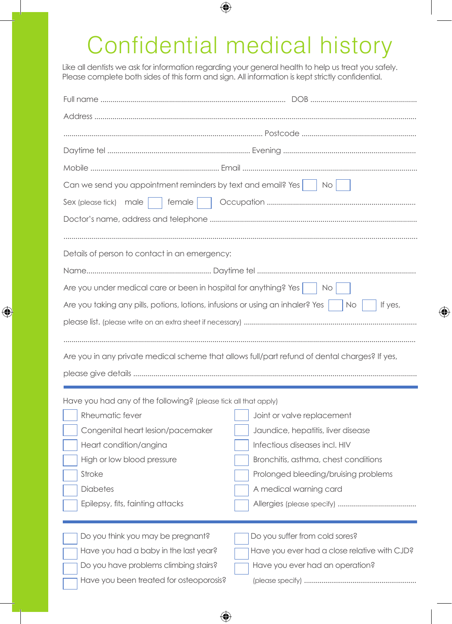## Confidential medical history

Like all dentists we ask for information regarding your general health to help us treat you safely. Please complete both sides of this form and sign. All information is kept strictly confidential.

 $\bigoplus$ 

| Can we send you appointment reminders by text and email? Yes $\vert$ $\vert$ No $\vert$                      |                                              |  |
|--------------------------------------------------------------------------------------------------------------|----------------------------------------------|--|
| female<br>Sex (please tick) male                                                                             |                                              |  |
|                                                                                                              |                                              |  |
|                                                                                                              |                                              |  |
| Details of person to contact in an emergency:                                                                |                                              |  |
|                                                                                                              |                                              |  |
| Are you under medical care or been in hospital for anything? Yes $\vert$ No $\vert$                          |                                              |  |
| Are you taking any pills, potions, lotions, infusions or using an inhaler? Yes $\vert$ $\vert$ No<br>If yes, |                                              |  |
|                                                                                                              |                                              |  |
|                                                                                                              |                                              |  |
| Are you in any private medical scheme that allows full/part refund of dental charges? If yes,                |                                              |  |
|                                                                                                              |                                              |  |
|                                                                                                              |                                              |  |
| Have you had any of the following? (please tick all that apply)                                              |                                              |  |
| Rheumatic fever                                                                                              | Joint or valve replacement                   |  |
| Congenital heart lesion/pacemaker                                                                            | Jaundice, hepatitis, liver disease           |  |
| Heart condition/angina                                                                                       | Infectious diseases incl. HIV                |  |
| High or low blood pressure                                                                                   | Bronchitis, asthma, chest conditions         |  |
| Stroke                                                                                                       | Prolonged bleeding/bruising problems         |  |
| <b>Diabetes</b>                                                                                              | A medical warning card                       |  |
| Epilepsy, fits, fainting attacks                                                                             |                                              |  |
|                                                                                                              |                                              |  |
| Do you think you may be pregnant?                                                                            | Do you suffer from cold sores?               |  |
| Have you had a baby in the last year?                                                                        | Have you ever had a close relative with CJD? |  |
| Do you have problems climbing stairs?                                                                        | Have you ever had an operation?              |  |
| Have you been treated for osteoporosis?                                                                      |                                              |  |

⊕

 $\bigoplus$ 

 $\bigoplus$